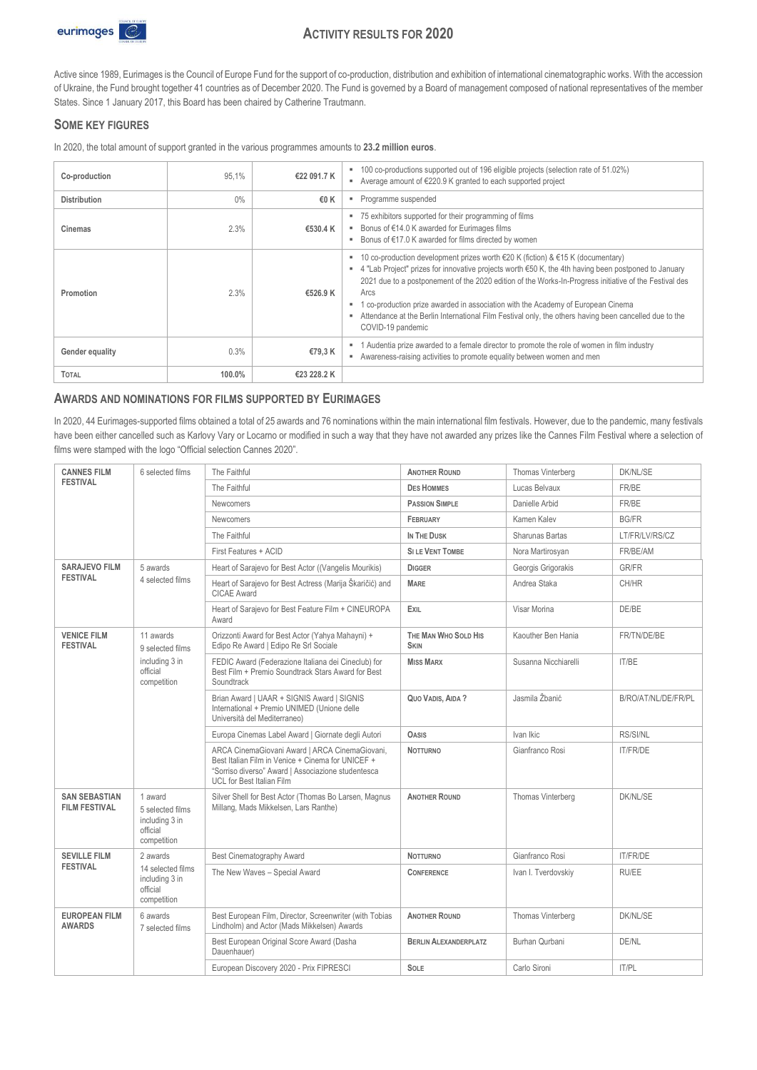

# **ACTIVITY RESULTS FOR 2020**

Active since 1989, Eurimages is the Council of Europe Fund for the support of co-production, distribution and exhibition of international cinematographic works. With the accession of Ukraine, the Fund brought together 41 countries as of December 2020. The Fund is governed by a Board of management composed of national representatives of the member States. Since 1 January 2017, this Board has been chaired by Catherine Trautmann.

## **SOME KEY FIGURES**

In 2020, the total amount of support granted in the various programmes amounts to **23.2 million euros**.

| Co-production       | 95.1%  | €22 091.7 K | 100 co-productions supported out of 196 eligible projects (selection rate of 51.02%)<br>Average amount of €220.9 K granted to each supported project                                                                                                                                                                                                                                                                                                                                                                             |  |
|---------------------|--------|-------------|----------------------------------------------------------------------------------------------------------------------------------------------------------------------------------------------------------------------------------------------------------------------------------------------------------------------------------------------------------------------------------------------------------------------------------------------------------------------------------------------------------------------------------|--|
| <b>Distribution</b> | $0\%$  | €0 K        | Programme suspended                                                                                                                                                                                                                                                                                                                                                                                                                                                                                                              |  |
| Cinemas             | 2.3%   | €530.4 K    | 75 exhibitors supported for their programming of films<br>Bonus of €14.0 K awarded for Eurimages films<br>Bonus of €17.0 K awarded for films directed by women                                                                                                                                                                                                                                                                                                                                                                   |  |
| Promotion           | 2.3%   | €526.9 K    | 10 co-production development prizes worth €20 K (fiction) & €15 K (documentary)<br>4 "Lab Project" prizes for innovative projects worth €50 K, the 4th having been postponed to January<br>п.<br>2021 due to a postponement of the 2020 edition of the Works-In-Progress initiative of the Festival des<br>Arcs<br>co-production prize awarded in association with the Academy of European Cinema<br>Attendance at the Berlin International Film Festival only, the others having been cancelled due to the<br>COVID-19 pandemic |  |
| Gender equality     | 0.3%   | €79,3 K     | Audentia prize awarded to a female director to promote the role of women in film industry<br>Awareness-raising activities to promote equality between women and men                                                                                                                                                                                                                                                                                                                                                              |  |
| <b>TOTAL</b>        | 100.0% | €23 228.2 K |                                                                                                                                                                                                                                                                                                                                                                                                                                                                                                                                  |  |

### **AWARDS AND NOMINATIONS FOR FILMS SUPPORTED BY EURIMAGES**

In 2020, 44 Eurimages-supported films obtained a total of 25 awards and 76 nominations within the main international film festivals. However, due to the pandemic, many festivals have been either cancelled such as Karlovy Vary or Locarno or modified in such a way that they have not awarded any prizes like the Cannes Film Festival where a selection of films were stamped with the logo "Official selection Cannes 2020".

| <b>CANNES FILM</b><br>6 selected films       |                                                                          | The Faithful                                                                                                                                                                                  | <b>ANOTHER ROUND</b>                | Thomas Vinterberg      | <b>DK/NL/SE</b>     |
|----------------------------------------------|--------------------------------------------------------------------------|-----------------------------------------------------------------------------------------------------------------------------------------------------------------------------------------------|-------------------------------------|------------------------|---------------------|
| <b>FFSTIVAL</b>                              |                                                                          | The Faithful                                                                                                                                                                                  | <b>DES HOMMES</b>                   | Lucas Belvaux          | FR/BE               |
|                                              |                                                                          | <b>Newcomers</b>                                                                                                                                                                              | <b>PASSION SIMPLE</b>               | Danielle Arbid         | FR/BE               |
|                                              |                                                                          | <b>Newcomers</b>                                                                                                                                                                              | FEBRUARY                            | Kamen Kalev            | <b>BG/FR</b>        |
|                                              |                                                                          | The Faithful                                                                                                                                                                                  | IN THE DUSK                         | <b>Sharunas Bartas</b> | LT/FR/LV/RS/CZ      |
|                                              |                                                                          | First Features + ACID                                                                                                                                                                         | <b>SILE VENT TOMBE</b>              | Nora Martirosyan       | FR/BE/AM            |
| <b>SARAJEVO FILM</b>                         | 5 awards                                                                 | Heart of Sarajevo for Best Actor ((Vangelis Mourikis)                                                                                                                                         | <b>DIGGER</b>                       | Georgis Grigorakis     | <b>GR/FR</b>        |
| <b>FFSTIVAL</b>                              | 4 selected films                                                         | Heart of Sarajevo for Best Actress (Marija Škaričić) and<br>CICAE Award                                                                                                                       | <b>MARE</b>                         | Andrea Staka           | CH/HR               |
|                                              |                                                                          | Heart of Sarajevo for Best Feature Film + CINEUROPA<br>Award                                                                                                                                  | EXIL                                | Visar Morina           | DE/BE               |
| <b>VENICE FILM</b><br><b>FESTIVAL</b>        | 11 awards<br>9 selected films                                            | Orizzonti Award for Best Actor (Yahya Mahayni) +<br>Edipo Re Award   Edipo Re Srl Sociale                                                                                                     | THE MAN WHO SOLD HIS<br><b>SKIN</b> | Kaouther Ben Hania     | FR/TN/DE/BE         |
| including 3 in<br>official<br>competition    |                                                                          | FEDIC Award (Federazione Italiana dei Cineclub) for<br>Best Film + Premio Soundtrack Stars Award for Best<br>Soundtrack                                                                       | <b>MISS MARX</b>                    | Susanna Nicchiarelli   | IT/BE               |
|                                              |                                                                          | Brian Award   UAAR + SIGNIS Award   SIGNIS<br>International + Premio UNIMED (Unione delle<br>Università del Mediterraneo)                                                                     | QUO VADIS, AIDA ?                   | Jasmila Žbanić         | B/RO/AT/NL/DE/FR/PL |
|                                              |                                                                          | Europa Cinemas Label Award   Giornate degli Autori                                                                                                                                            | <b>OASIS</b>                        | Ivan Ikic              | <b>RS/SI/NL</b>     |
|                                              |                                                                          | ARCA CinemaGiovani Award   ARCA CinemaGiovani,<br>Best Italian Film in Venice + Cinema for UNICEF +<br>"Sorriso diverso" Award   Associazione studentesca<br><b>UCL for Best Italian Film</b> | <b>NOTTURNO</b>                     | Gianfranco Rosi        | <b>IT/FR/DE</b>     |
| <b>SAN SEBASTIAN</b><br><b>FILM FESTIVAL</b> | 1 award<br>5 selected films<br>including 3 in<br>official<br>competition | Silver Shell for Best Actor (Thomas Bo Larsen, Magnus<br>Millang, Mads Mikkelsen, Lars Ranthe)                                                                                                | <b>ANOTHER ROUND</b>                | Thomas Vinterberg      | DK/NL/SE            |
| <b>SEVILLE FILM</b>                          | 2 awards                                                                 | <b>Best Cinematography Award</b>                                                                                                                                                              | <b>NOTTURNO</b>                     | Gianfranco Rosi        | <b>IT/FR/DE</b>     |
| <b>FESTIVAL</b>                              | 14 selected films<br>including 3 in<br>official<br>competition           | The New Waves - Special Award                                                                                                                                                                 | <b>CONFERENCE</b>                   | Ivan I. Tverdovskiy    | RU/EE               |
| <b>EUROPEAN FILM</b><br><b>AWARDS</b>        | 6 awards<br>7 selected films                                             | Best European Film, Director, Screenwriter (with Tobias<br>Lindholm) and Actor (Mads Mikkelsen) Awards                                                                                        | <b>ANOTHER ROUND</b>                | Thomas Vinterberg      | DK/NL/SE            |
|                                              |                                                                          | Best European Original Score Award (Dasha<br>Dauenhauer)                                                                                                                                      | <b>BERLIN ALEXANDERPLATZ</b>        | Burhan Qurbani         | DE/NL               |
|                                              |                                                                          | European Discovery 2020 - Prix FIPRESCI                                                                                                                                                       | SOLE                                | Carlo Sironi           | IT/PL               |